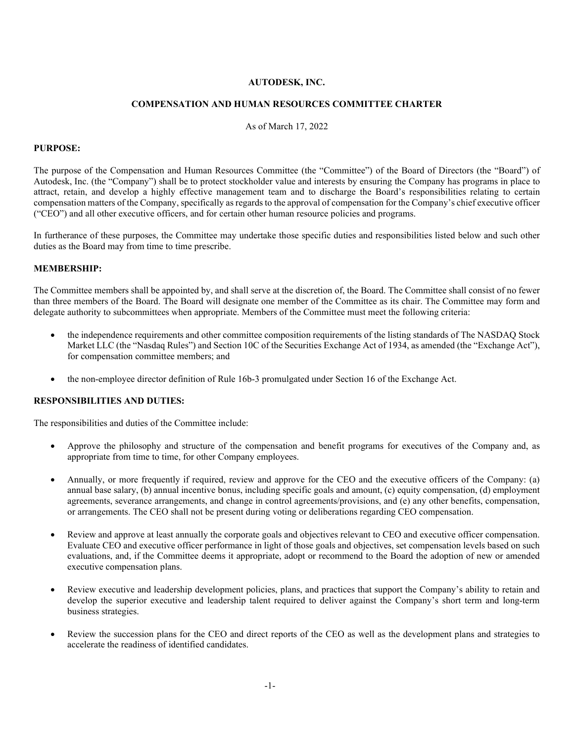## **AUTODESK, INC.**

### **COMPENSATION AND HUMAN RESOURCES COMMITTEE CHARTER**

As of March 17, 2022

#### **PURPOSE:**

The purpose of the Compensation and Human Resources Committee (the "Committee") of the Board of Directors (the "Board") of Autodesk, Inc. (the "Company") shall be to protect stockholder value and interests by ensuring the Company has programs in place to attract, retain, and develop a highly effective management team and to discharge the Board's responsibilities relating to certain compensation matters of the Company, specifically as regards to the approval of compensation for the Company's chief executive officer ("CEO") and all other executive officers, and for certain other human resource policies and programs.

In furtherance of these purposes, the Committee may undertake those specific duties and responsibilities listed below and such other duties as the Board may from time to time prescribe.

### **MEMBERSHIP:**

The Committee members shall be appointed by, and shall serve at the discretion of, the Board. The Committee shall consist of no fewer than three members of the Board. The Board will designate one member of the Committee as its chair. The Committee may form and delegate authority to subcommittees when appropriate. Members of the Committee must meet the following criteria:

- the independence requirements and other committee composition requirements of the listing standards of The NASDAQ Stock Market LLC (the "Nasdaq Rules") and Section 10C of the Securities Exchange Act of 1934, as amended (the "Exchange Act"), for compensation committee members; and
- the non-employee director definition of Rule 16b-3 promulgated under Section 16 of the Exchange Act.

#### **RESPONSIBILITIES AND DUTIES:**

The responsibilities and duties of the Committee include:

- Approve the philosophy and structure of the compensation and benefit programs for executives of the Company and, as appropriate from time to time, for other Company employees.
- Annually, or more frequently if required, review and approve for the CEO and the executive officers of the Company: (a) annual base salary, (b) annual incentive bonus, including specific goals and amount, (c) equity compensation, (d) employment agreements, severance arrangements, and change in control agreements/provisions, and (e) any other benefits, compensation, or arrangements. The CEO shall not be present during voting or deliberations regarding CEO compensation.
- Review and approve at least annually the corporate goals and objectives relevant to CEO and executive officer compensation. Evaluate CEO and executive officer performance in light of those goals and objectives, set compensation levels based on such evaluations, and, if the Committee deems it appropriate, adopt or recommend to the Board the adoption of new or amended executive compensation plans.
- Review executive and leadership development policies, plans, and practices that support the Company's ability to retain and develop the superior executive and leadership talent required to deliver against the Company's short term and long-term business strategies.
- Review the succession plans for the CEO and direct reports of the CEO as well as the development plans and strategies to accelerate the readiness of identified candidates.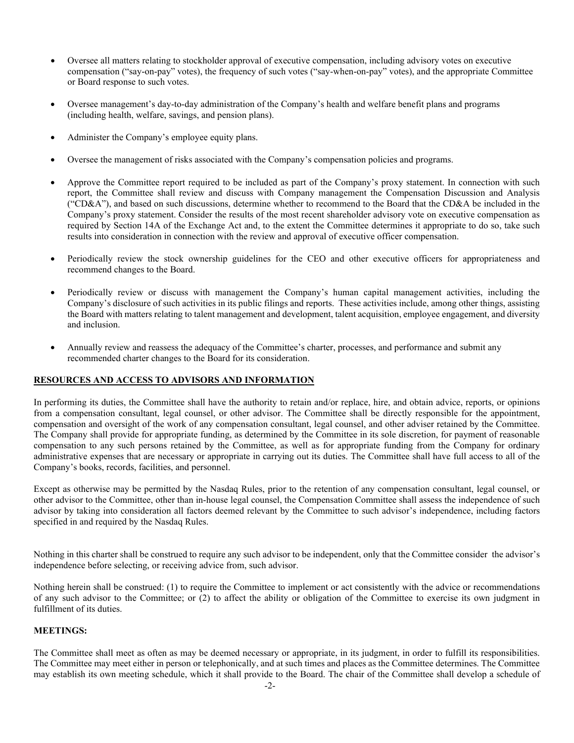- Oversee all matters relating to stockholder approval of executive compensation, including advisory votes on executive compensation ("say-on-pay" votes), the frequency of such votes ("say-when-on-pay" votes), and the appropriate Committee or Board response to such votes.
- Oversee management's day-to-day administration of the Company's health and welfare benefit plans and programs (including health, welfare, savings, and pension plans).
- Administer the Company's employee equity plans.
- Oversee the management of risks associated with the Company's compensation policies and programs.
- Approve the Committee report required to be included as part of the Company's proxy statement. In connection with such report, the Committee shall review and discuss with Company management the Compensation Discussion and Analysis ("CD&A"), and based on such discussions, determine whether to recommend to the Board that the CD&A be included in the Company's proxy statement. Consider the results of the most recent shareholder advisory vote on executive compensation as required by Section 14A of the Exchange Act and, to the extent the Committee determines it appropriate to do so, take such results into consideration in connection with the review and approval of executive officer compensation.
- Periodically review the stock ownership guidelines for the CEO and other executive officers for appropriateness and recommend changes to the Board.
- Periodically review or discuss with management the Company's human capital management activities, including the Company's disclosure of such activities in its public filings and reports. These activities include, among other things, assisting the Board with matters relating to talent management and development, talent acquisition, employee engagement, and diversity and inclusion.
- Annually review and reassess the adequacy of the Committee's charter, processes, and performance and submit any recommended charter changes to the Board for its consideration.

### **RESOURCES AND ACCESS TO ADVISORS AND INFORMATION**

In performing its duties, the Committee shall have the authority to retain and/or replace, hire, and obtain advice, reports, or opinions from a compensation consultant, legal counsel, or other advisor. The Committee shall be directly responsible for the appointment, compensation and oversight of the work of any compensation consultant, legal counsel, and other adviser retained by the Committee. The Company shall provide for appropriate funding, as determined by the Committee in its sole discretion, for payment of reasonable compensation to any such persons retained by the Committee, as well as for appropriate funding from the Company for ordinary administrative expenses that are necessary or appropriate in carrying out its duties. The Committee shall have full access to all of the Company's books, records, facilities, and personnel.

Except as otherwise may be permitted by the Nasdaq Rules, prior to the retention of any compensation consultant, legal counsel, or other advisor to the Committee, other than in-house legal counsel, the Compensation Committee shall assess the independence of such advisor by taking into consideration all factors deemed relevant by the Committee to such advisor's independence, including factors specified in and required by the Nasdaq Rules.

Nothing in this charter shall be construed to require any such advisor to be independent, only that the Committee consider the advisor's independence before selecting, or receiving advice from, such advisor.

Nothing herein shall be construed: (1) to require the Committee to implement or act consistently with the advice or recommendations of any such advisor to the Committee; or (2) to affect the ability or obligation of the Committee to exercise its own judgment in fulfillment of its duties.

### **MEETINGS:**

The Committee shall meet as often as may be deemed necessary or appropriate, in its judgment, in order to fulfill its responsibilities. The Committee may meet either in person or telephonically, and at such times and places as the Committee determines. The Committee may establish its own meeting schedule, which it shall provide to the Board. The chair of the Committee shall develop a schedule of